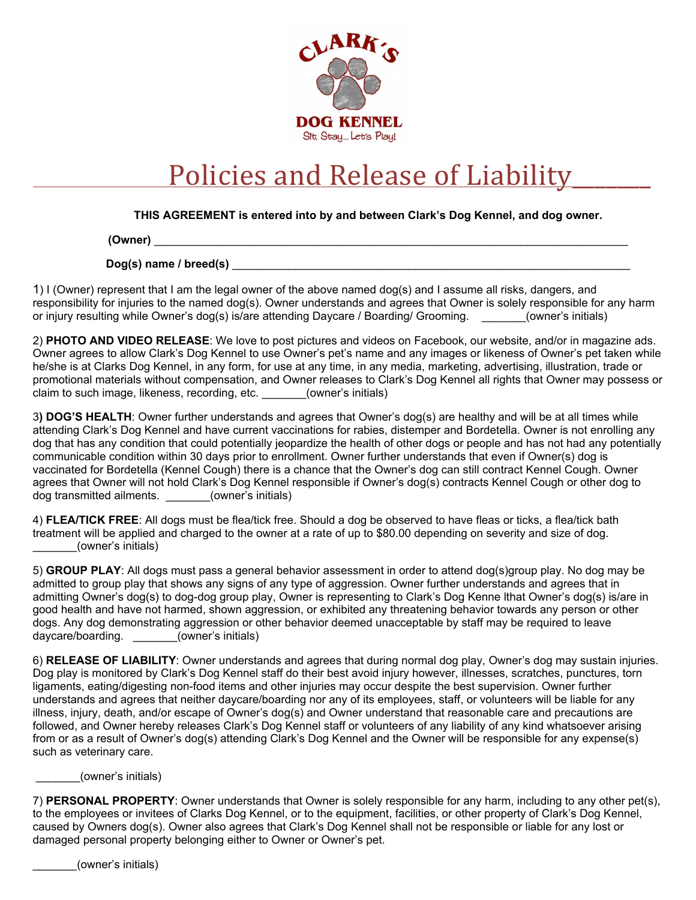

## Policies and Release of Liability

**THIS AGREEMENT is entered into by and between Clark's Dog Kennel, and dog owner.**

**(Owner)** \_\_\_\_\_\_\_\_\_\_\_\_\_\_\_\_\_\_\_\_\_\_\_\_\_\_\_\_\_\_\_\_\_\_\_\_\_\_\_\_\_\_\_\_\_\_\_\_\_\_\_\_\_\_\_\_\_\_\_\_\_\_\_\_\_\_\_\_\_\_\_\_\_\_\_

**Dog(s)** name / breed(s)

1) I (Owner) represent that I am the legal owner of the above named dog(s) and I assume all risks, dangers, and responsibility for injuries to the named dog(s). Owner understands and agrees that Owner is solely responsible for any harm or injury resulting while Owner's dog(s) is/are attending Daycare / Boarding/ Grooming. (owner's initials)

2) **PHOTO AND VIDEO RELEASE**: We love to post pictures and videos on Facebook, our website, and/or in magazine ads. Owner agrees to allow Clark's Dog Kennel to use Owner's pet's name and any images or likeness of Owner's pet taken while he/she is at Clarks Dog Kennel, in any form, for use at any time, in any media, marketing, advertising, illustration, trade or promotional materials without compensation, and Owner releases to Clark's Dog Kennel all rights that Owner may possess or claim to such image, likeness, recording, etc. \_\_\_\_\_\_\_(owner's initials)

3**) DOG'S HEALTH**: Owner further understands and agrees that Owner's dog(s) are healthy and will be at all times while attending Clark's Dog Kennel and have current vaccinations for rabies, distemper and Bordetella. Owner is not enrolling any dog that has any condition that could potentially jeopardize the health of other dogs or people and has not had any potentially communicable condition within 30 days prior to enrollment. Owner further understands that even if Owner(s) dog is vaccinated for Bordetella (Kennel Cough) there is a chance that the Owner's dog can still contract Kennel Cough. Owner agrees that Owner will not hold Clark's Dog Kennel responsible if Owner's dog(s) contracts Kennel Cough or other dog to dog transmitted ailments. (owner's initials)

4) **FLEA/TICK FREE**: All dogs must be flea/tick free. Should a dog be observed to have fleas or ticks, a flea/tick bath treatment will be applied and charged to the owner at a rate of up to \$80.00 depending on severity and size of dog. \_\_\_\_\_\_\_(owner's initials)

5) **GROUP PLAY**: All dogs must pass a general behavior assessment in order to attend dog(s)group play. No dog may be admitted to group play that shows any signs of any type of aggression. Owner further understands and agrees that in admitting Owner's dog(s) to dog-dog group play, Owner is representing to Clark's Dog Kenne lthat Owner's dog(s) is/are in good health and have not harmed, shown aggression, or exhibited any threatening behavior towards any person or other dogs. Any dog demonstrating aggression or other behavior deemed unacceptable by staff may be required to leave daycare/boarding. \_\_\_\_\_\_\_(owner's initials)

6) **RELEASE OF LIABILITY**: Owner understands and agrees that during normal dog play, Owner's dog may sustain injuries. Dog play is monitored by Clark's Dog Kennel staff do their best avoid injury however, illnesses, scratches, punctures, torn ligaments, eating/digesting non-food items and other injuries may occur despite the best supervision. Owner further understands and agrees that neither daycare/boarding nor any of its employees, staff, or volunteers will be liable for any illness, injury, death, and/or escape of Owner's dog(s) and Owner understand that reasonable care and precautions are followed, and Owner hereby releases Clark's Dog Kennel staff or volunteers of any liability of any kind whatsoever arising from or as a result of Owner's dog(s) attending Clark's Dog Kennel and the Owner will be responsible for any expense(s) such as veterinary care.

\_\_\_\_\_\_\_(owner's initials)

7) **PERSONAL PROPERTY**: Owner understands that Owner is solely responsible for any harm, including to any other pet(s), to the employees or invitees of Clarks Dog Kennel, or to the equipment, facilities, or other property of Clark's Dog Kennel, caused by Owners dog(s). Owner also agrees that Clark's Dog Kennel shall not be responsible or liable for any lost or damaged personal property belonging either to Owner or Owner's pet.

(owner's initials)